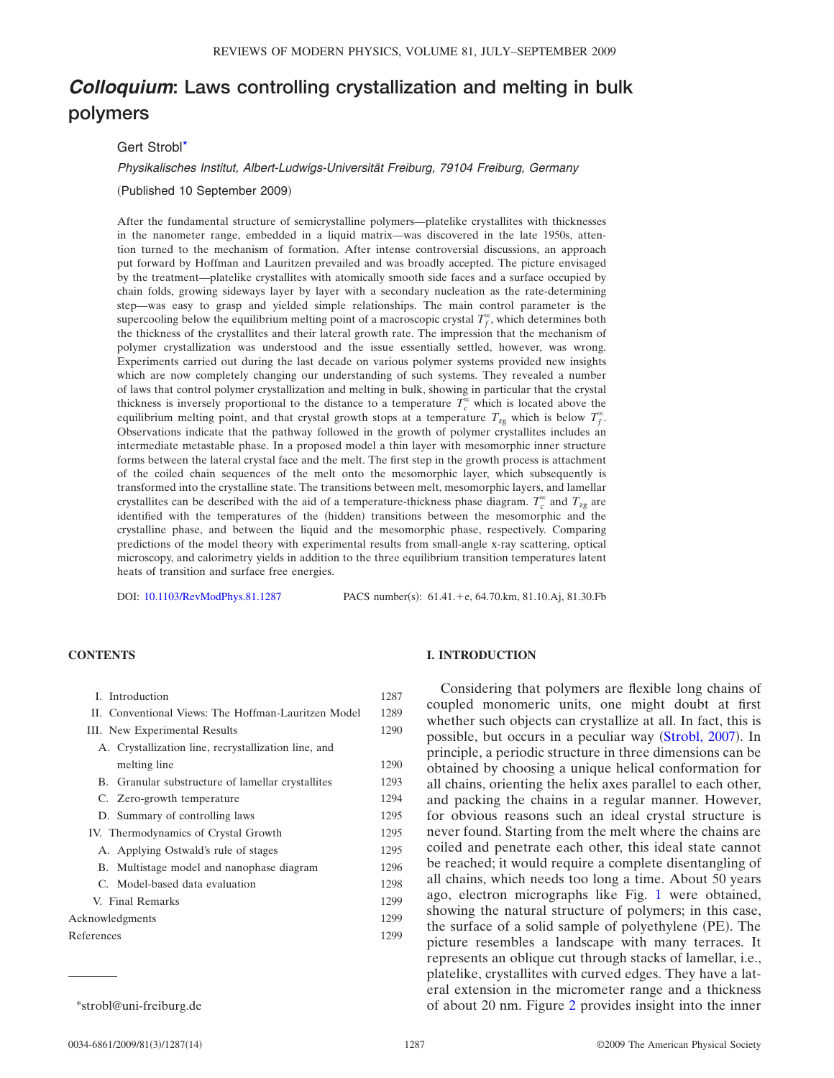# *Colloquium***: Laws controlling crystallization and melting in bulk polymers**

# Gert Strob[l\\*](#page-0-0)

#### *Physikalisches Institut, Albert-Ludwigs-Universität Freiburg, 79104 Freiburg, Germany*

(Published 10 September 2009)

After the fundamental structure of semicrystalline polymers—platelike crystallites with thicknesses in the nanometer range, embedded in a liquid matrix—was discovered in the late 1950s, attention turned to the mechanism of formation. After intense controversial discussions, an approach put forward by Hoffman and Lauritzen prevailed and was broadly accepted. The picture envisaged by the treatment—platelike crystallites with atomically smooth side faces and a surface occupied by chain folds, growing sideways layer by layer with a secondary nucleation as the rate-determining step—was easy to grasp and yielded simple relationships. The main control parameter is the supercooling below the equilibrium melting point of a macroscopic crystal  $T_f^{\infty}$ , which determines both the thickness of the crystallites and their lateral growth rate. The impression that the mechanism of polymer crystallization was understood and the issue essentially settled, however, was wrong. Experiments carried out during the last decade on various polymer systems provided new insights which are now completely changing our understanding of such systems. They revealed a number of laws that control polymer crystallization and melting in bulk, showing in particular that the crystal thickness is inversely proportional to the distance to a temperature  $T_c^{\infty}$  which is located above the equilibrium melting point, and that crystal growth stops at a temperature  $T_{\text{zg}}$  which is below  $T_f^{\infty}$ . Observations indicate that the pathway followed in the growth of polymer crystallites includes an intermediate metastable phase. In a proposed model a thin layer with mesomorphic inner structure forms between the lateral crystal face and the melt. The first step in the growth process is attachment of the coiled chain sequences of the melt onto the mesomorphic layer, which subsequently is transformed into the crystalline state. The transitions between melt, mesomorphic layers, and lamellar crystallites can be described with the aid of a temperature-thickness phase diagram.  $T_c^{\infty}$  and  $T_{\text{zg}}$  are identified with the temperatures of the (hidden) transitions between the mesomorphic and the crystalline phase, and between the liquid and the mesomorphic phase, respectively. Comparing predictions of the model theory with experimental results from small-angle x-ray scattering, optical microscopy, and calorimetry yields in addition to the three equilibrium transition temperatures latent heats of transition and surface free energies.

DOI: [10.1103/RevModPhys.81.1287](http://dx.doi.org/10.1103/RevModPhys.81.1287)

: 61.41. + e, 64.70.km, 81.10.Aj, 81.30.Fb

# **CONTENTS**

| I. Introduction                                      |      |  |  |  |  |
|------------------------------------------------------|------|--|--|--|--|
| II. Conventional Views: The Hoffman-Lauritzen Model  |      |  |  |  |  |
| III. New Experimental Results                        |      |  |  |  |  |
| A. Crystallization line, recrystallization line, and |      |  |  |  |  |
| melting line                                         | 1290 |  |  |  |  |
| B. Granular substructure of lamellar crystallites    | 1293 |  |  |  |  |
| C. Zero-growth temperature                           | 1294 |  |  |  |  |
| D. Summary of controlling laws                       | 1295 |  |  |  |  |
| IV. Thermodynamics of Crystal Growth                 |      |  |  |  |  |
| A. Applying Ostwald's rule of stages                 | 1295 |  |  |  |  |
| B. Multistage model and nanophase diagram            | 1296 |  |  |  |  |
| C. Model-based data evaluation                       | 1298 |  |  |  |  |
| V. Final Remarks                                     |      |  |  |  |  |
| Acknowledgments                                      |      |  |  |  |  |
| References                                           |      |  |  |  |  |

<span id="page-0-0"></span>

# **I. INTRODUCTION**

Considering that polymers are flexible long chains of coupled monomeric units, one might doubt at first whether such objects can crystallize at all. In fact, this is possible, but occurs in a peculiar way ([Strobl, 2007](#page-13-0)). In principle, a periodic structure in three dimensions can be obtained by choosing a unique helical conformation for all chains, orienting the helix axes parallel to each other, and packing the chains in a regular manner. However, for obvious reasons such an ideal crystal structure is never found. Starting from the melt where the chains are coiled and penetrate each other, this ideal state cannot be reached; it would require a complete disentangling of all chains, which needs too long a time. About 50 years ago, electron micrographs like Fig. [1](#page-1-0) were obtained, showing the natural structure of polymers; in this case, the surface of a solid sample of polyethylene (PE). The picture resembles a landscape with many terraces. It represents an oblique cut through stacks of lamellar, i.e., platelike, crystallites with curved edges. They have a lateral extension in the micrometer range and a thickness \*strobl@uni-freiburg.de of about 20 nm. Figure [2](#page-1-1) provides insight into the inner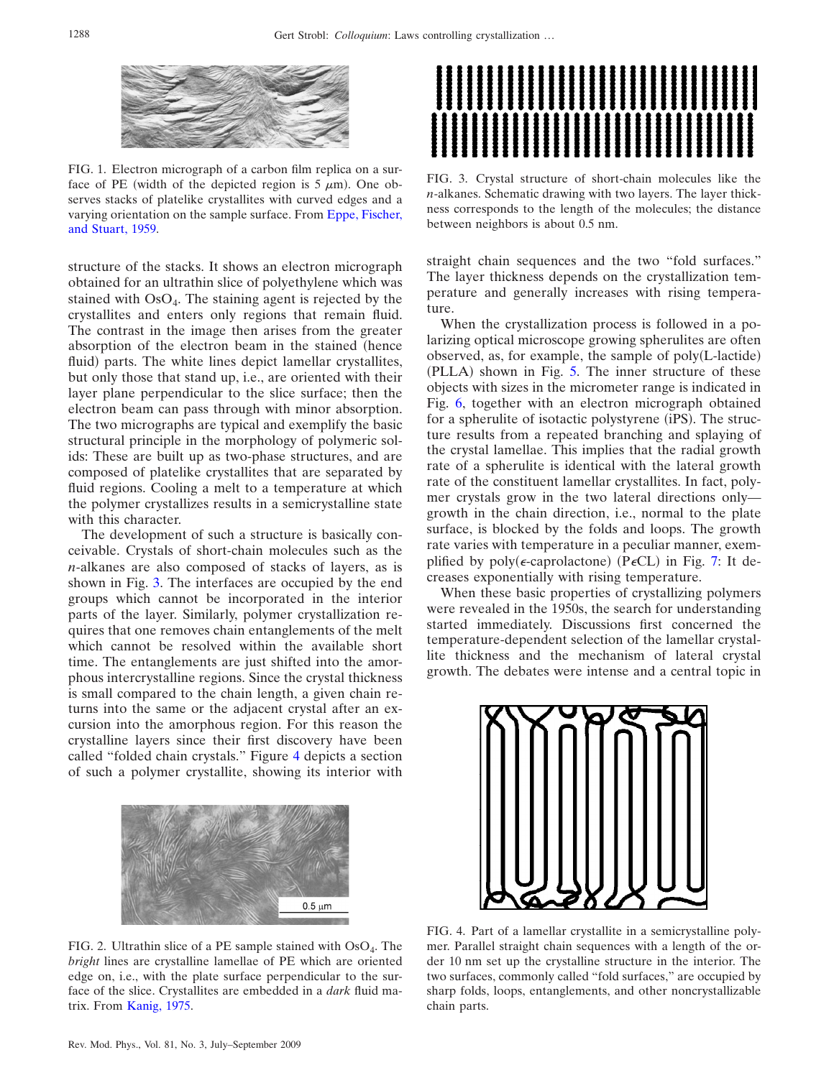<span id="page-1-0"></span>

FIG. 1. Electron micrograph of a carbon film replica on a surface of PE (width of the depicted region is  $5 \mu m$ ). One observes stacks of platelike crystallites with curved edges and a varying orientation on the sample surface. From [Eppe, Fischer,](#page-12-0) [and Stuart, 1959.](#page-12-0)

structure of the stacks. It shows an electron micrograph obtained for an ultrathin slice of polyethylene which was stained with  $OsO<sub>4</sub>$ . The staining agent is rejected by the crystallites and enters only regions that remain fluid. The contrast in the image then arises from the greater absorption of the electron beam in the stained (hence fluid) parts. The white lines depict lamellar crystallites, but only those that stand up, i.e., are oriented with their layer plane perpendicular to the slice surface; then the electron beam can pass through with minor absorption. The two micrographs are typical and exemplify the basic structural principle in the morphology of polymeric solids: These are built up as two-phase structures, and are composed of platelike crystallites that are separated by fluid regions. Cooling a melt to a temperature at which the polymer crystallizes results in a semicrystalline state with this character.

The development of such a structure is basically conceivable. Crystals of short-chain molecules such as the *n*-alkanes are also composed of stacks of layers, as is shown in Fig. [3.](#page-1-2) The interfaces are occupied by the end groups which cannot be incorporated in the interior parts of the layer. Similarly, polymer crystallization requires that one removes chain entanglements of the melt which cannot be resolved within the available short time. The entanglements are just shifted into the amorphous intercrystalline regions. Since the crystal thickness is small compared to the chain length, a given chain returns into the same or the adjacent crystal after an excursion into the amorphous region. For this reason the crystalline layers since their first discovery have been called "folded chain crystals." Figure [4](#page-1-3) depicts a section of such a polymer crystallite, showing its interior with

<span id="page-1-1"></span>

FIG. 2. Ultrathin slice of a PE sample stained with OsO<sub>4</sub>. The *bright* lines are crystalline lamellae of PE which are oriented edge on, i.e., with the plate surface perpendicular to the surface of the slice. Crystallites are embedded in a *dark* fluid matrix. From [Kanig, 1975.](#page-13-1)

<span id="page-1-2"></span>

FIG. 3. Crystal structure of short-chain molecules like the *n*-alkanes. Schematic drawing with two layers. The layer thickness corresponds to the length of the molecules; the distance between neighbors is about 0.5 nm.

straight chain sequences and the two "fold surfaces." The layer thickness depends on the crystallization temperature and generally increases with rising temperature.

When the crystallization process is followed in a polarizing optical microscope growing spherulites are often observed, as, for example, the sample of poly(L-lactide) (PLLA) shown in Fig. [5.](#page-2-0) The inner structure of these objects with sizes in the micrometer range is indicated in Fig. [6,](#page-2-1) together with an electron micrograph obtained for a spherulite of isotactic polystyrene (iPS). The structure results from a repeated branching and splaying of the crystal lamellae. This implies that the radial growth rate of a spherulite is identical with the lateral growth rate of the constituent lamellar crystallites. In fact, polymer crystals grow in the two lateral directions only growth in the chain direction, i.e., normal to the plate surface, is blocked by the folds and loops. The growth rate varies with temperature in a peculiar manner, exemplified by  $poly(\epsilon$ -caprolactone) (P $\epsilon$ CL) in Fig. [7:](#page-2-2) It decreases exponentially with rising temperature.

When these basic properties of crystallizing polymers were revealed in the 1950s, the search for understanding started immediately. Discussions first concerned the temperature-dependent selection of the lamellar crystallite thickness and the mechanism of lateral crystal growth. The debates were intense and a central topic in

<span id="page-1-3"></span>

FIG. 4. Part of a lamellar crystallite in a semicrystalline polymer. Parallel straight chain sequences with a length of the order 10 nm set up the crystalline structure in the interior. The two surfaces, commonly called "fold surfaces," are occupied by sharp folds, loops, entanglements, and other noncrystallizable chain parts.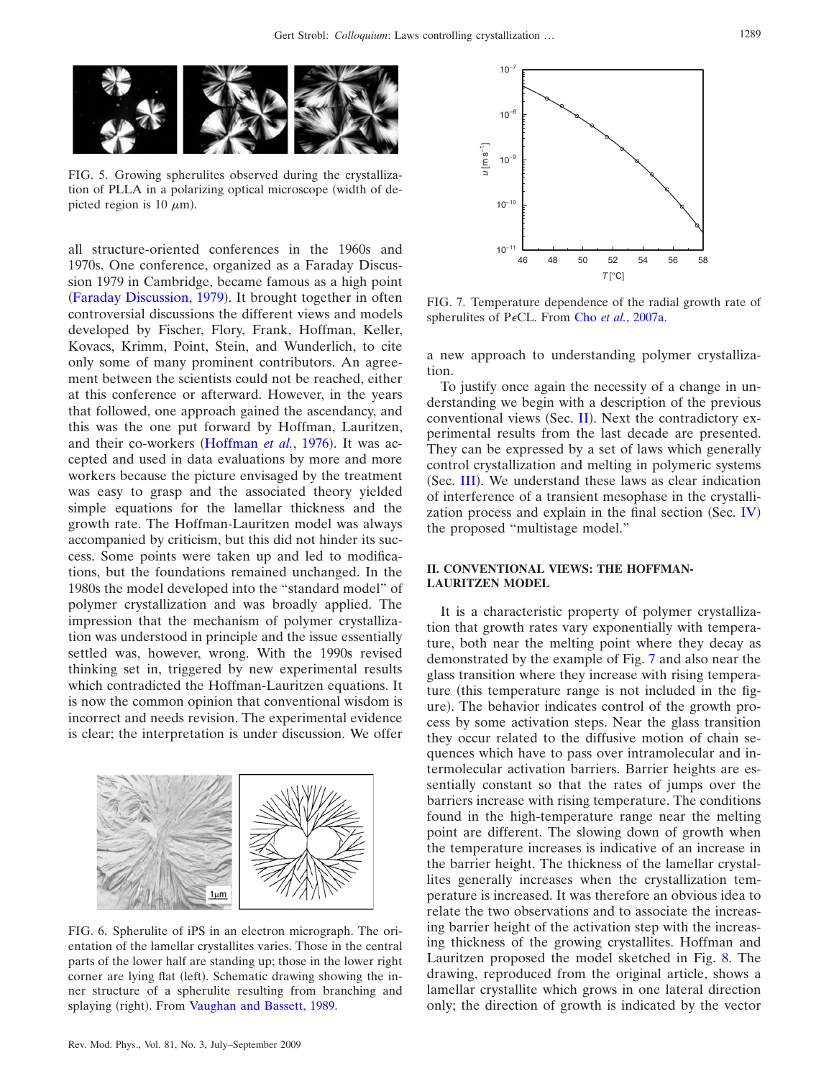

<span id="page-2-0"></span>

FIG. 5. Growing spherulites observed during the crystallization of PLLA in a polarizing optical microscope width of depicted region is 10  $\mu$ m).

all structure-oriented conferences in the 1960s and 1970s. One conference, organized as a Faraday Discussion 1979 in Cambridge, became famous as a high point ([Faraday Discussion, 1979](#page-12-1)). It brought together in often controversial discussions the different views and models developed by Fischer, Flory, Frank, Hoffman, Keller, Kovacs, Krimm, Point, Stein, and Wunderlich, to cite only some of many prominent contributors. An agreement between the scientists could not be reached, either at this conference or afterward. However, in the years that followed, one approach gained the ascendancy, and this was the one put forward by Hoffman, Lauritzen, and their co-workers ([Hoffman](#page-12-2) et al., 1976). It was accepted and used in data evaluations by more and more workers because the picture envisaged by the treatment was easy to grasp and the associated theory yielded simple equations for the lamellar thickness and the growth rate. The Hoffman-Lauritzen model was always accompanied by criticism, but this did not hinder its success. Some points were taken up and led to modifications, but the foundations remained unchanged. In the 1980s the model developed into the "standard model" of polymer crystallization and was broadly applied. The impression that the mechanism of polymer crystallization was understood in principle and the issue essentially settled was, however, wrong. With the 1990s revised thinking set in, triggered by new experimental results which contradicted the Hoffman-Lauritzen equations. It is now the common opinion that conventional wisdom is incorrect and needs revision. The experimental evidence is clear; the interpretation is under discussion. We offer

<span id="page-2-1"></span>

FIG. 6. Spherulite of iPS in an electron micrograph. The orientation of the lamellar crystallites varies. Those in the central parts of the lower half are standing up; those in the lower right corner are lying flat (left). Schematic drawing showing the inner structure of a spherulite resulting from branching and splaying (right). From [Vaughan and Bassett, 1989.](#page-13-2)

<span id="page-2-2"></span>

FIG. 7. Temperature dependence of the radial growth rate of spherulites of P<sub>*E*CL. From Cho *et al.*[, 2007a.](#page-12-3)</sub>

a new approach to understanding polymer crystallization.

To justify once again the necessity of a change in understanding we begin with a description of the previous conventional views (Sec. [II](#page-2-3)). Next the contradictory experimental results from the last decade are presented. They can be expressed by a set of laws which generally control crystallization and melting in polymeric systems (Sec. [III](#page-3-0)). We understand these laws as clear indication of interference of a transient mesophase in the crystalli-zation process and explain in the final section (Sec. [IV](#page-8-0)) the proposed "multistage model."

# <span id="page-2-3"></span>**II. CONVENTIONAL VIEWS: THE HOFFMAN-LAURITZEN MODEL**

It is a characteristic property of polymer crystallization that growth rates vary exponentially with temperature, both near the melting point where they decay as demonstrated by the example of Fig. [7](#page-2-2) and also near the glass transition where they increase with rising temperature (this temperature range is not included in the figure). The behavior indicates control of the growth process by some activation steps. Near the glass transition they occur related to the diffusive motion of chain sequences which have to pass over intramolecular and intermolecular activation barriers. Barrier heights are essentially constant so that the rates of jumps over the barriers increase with rising temperature. The conditions found in the high-temperature range near the melting point are different. The slowing down of growth when the temperature increases is indicative of an increase in the barrier height. The thickness of the lamellar crystallites generally increases when the crystallization temperature is increased. It was therefore an obvious idea to relate the two observations and to associate the increasing barrier height of the activation step with the increasing thickness of the growing crystallites. Hoffman and Lauritzen proposed the model sketched in Fig. [8.](#page-3-1) The drawing, reproduced from the original article, shows a lamellar crystallite which grows in one lateral direction only; the direction of growth is indicated by the vector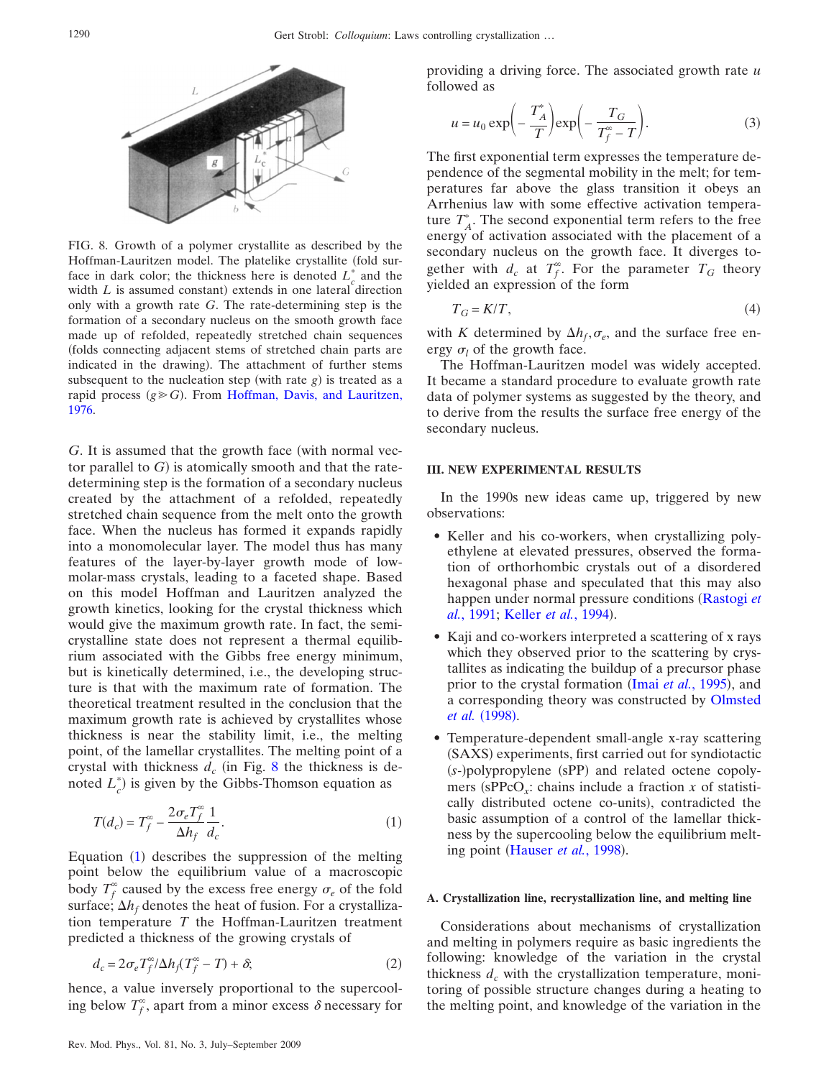<span id="page-3-1"></span>

FIG. 8. Growth of a polymer crystallite as described by the Hoffman-Lauritzen model. The platelike crystallite (fold surface in dark color; the thickness here is denoted  $L_c^*$  and the width  $L$  is assumed constant) extends in one lateral direction only with a growth rate *G*. The rate-determining step is the formation of a secondary nucleus on the smooth growth face made up of refolded, repeatedly stretched chain sequences folds connecting adjacent stems of stretched chain parts are indicated in the drawing). The attachment of further stems subsequent to the nucleation step (with rate  $g$ ) is treated as a rapid process  $(g \ge G)$ . From [Hoffman, Davis, and Lauritzen,](#page-12-2) [1976.](#page-12-2)

*G*. It is assumed that the growth face (with normal vector parallel to  $G$ ) is atomically smooth and that the ratedetermining step is the formation of a secondary nucleus created by the attachment of a refolded, repeatedly stretched chain sequence from the melt onto the growth face. When the nucleus has formed it expands rapidly into a monomolecular layer. The model thus has many features of the layer-by-layer growth mode of lowmolar-mass crystals, leading to a faceted shape. Based on this model Hoffman and Lauritzen analyzed the growth kinetics, looking for the crystal thickness which would give the maximum growth rate. In fact, the semicrystalline state does not represent a thermal equilibrium associated with the Gibbs free energy minimum, but is kinetically determined, i.e., the developing structure is that with the maximum rate of formation. The theoretical treatment resulted in the conclusion that the maximum growth rate is achieved by crystallites whose thickness is near the stability limit, i.e., the melting point, of the lamellar crystallites. The melting point of a crystal with thickness  $d_c$  (in Fig. [8](#page-3-1) the thickness is denoted  $L_c^*$ ) is given by the Gibbs-Thomson equation as

<span id="page-3-2"></span>
$$
T(d_c) = T_f^{\infty} - \frac{2\sigma_e T_f^{\infty}}{\Delta h_f} \frac{1}{d_c}.
$$
 (1)

Equation ([1](#page-3-2)) describes the suppression of the melting point below the equilibrium value of a macroscopic body  $T_f^{\infty}$  caused by the excess free energy  $\sigma_e$  of the fold surface;  $\Delta h_f$  denotes the heat of fusion. For a crystallization temperature *T* the Hoffman-Lauritzen treatment predicted a thickness of the growing crystals of

<span id="page-3-4"></span>
$$
d_c = 2\sigma_e T_f^{\infty}/\Delta h_f (T_f^{\infty} - T) + \delta; \tag{2}
$$

hence, a value inversely proportional to the supercooling below  $T_f^{\infty}$ , apart from a minor excess  $\delta$  necessary for

<span id="page-3-3"></span>providing a driving force. The associated growth rate *u* followed as

$$
u = u_0 \exp\left(-\frac{T_A^*}{T}\right) \exp\left(-\frac{T_G}{T_f^* - T}\right).
$$
 (3)

The first exponential term expresses the temperature dependence of the segmental mobility in the melt; for temperatures far above the glass transition it obeys an Arrhenius law with some effective activation temperature  $T_A^*$ . The second exponential term refers to the free energy of activation associated with the placement of a secondary nucleus on the growth face. It diverges together with  $d_c$  at  $T_f^{\infty}$ . For the parameter  $T_G$  theory yielded an expression of the form

$$
T_G = K/T,\tag{4}
$$

with *K* determined by  $\Delta h_f$ ,  $\sigma_e$ , and the surface free energy  $\sigma_l$  of the growth face.

The Hoffman-Lauritzen model was widely accepted. It became a standard procedure to evaluate growth rate data of polymer systems as suggested by the theory, and to derive from the results the surface free energy of the secondary nucleus.

## <span id="page-3-0"></span>**III. NEW EXPERIMENTAL RESULTS**

In the 1990s new ideas came up, triggered by new observations:

- Keller and his co-workers, when crystallizing polyethylene at elevated pressures, observed the formation of orthorhombic crystals out of a disordered hexagonal phase and speculated that this may also happen under normal pressure conditions ([Rastogi](#page-13-3) *et* al.[, 1991;](#page-13-3) [Keller](#page-13-4) et al., 1994).
- Kaji and co-workers interpreted a scattering of x rays which they observed prior to the scattering by crystallites as indicating the buildup of a precursor phase prior to the crystal formation (Imai et al.[, 1995](#page-13-5)), and a corresponding theory was constructed by [Olmsted](#page-13-6) *[et al.](#page-13-6)* (1998).
- Temperature-dependent small-angle x-ray scattering (SAXS) experiments, first carried out for syndiotactic (s-)polypropylene (sPP) and related octene copolymers (sPPcO<sub>x</sub>: chains include a fraction *x* of statistically distributed octene co-units), contradicted the basic assumption of a control of the lamellar thickness by the supercooling below the equilibrium melt-ing point ([Hauser](#page-12-4) et al., 1998).

#### <span id="page-3-5"></span>**A. Crystallization line, recrystallization line, and melting line**

Considerations about mechanisms of crystallization and melting in polymers require as basic ingredients the following: knowledge of the variation in the crystal thickness  $d_c$  with the crystallization temperature, monitoring of possible structure changes during a heating to the melting point, and knowledge of the variation in the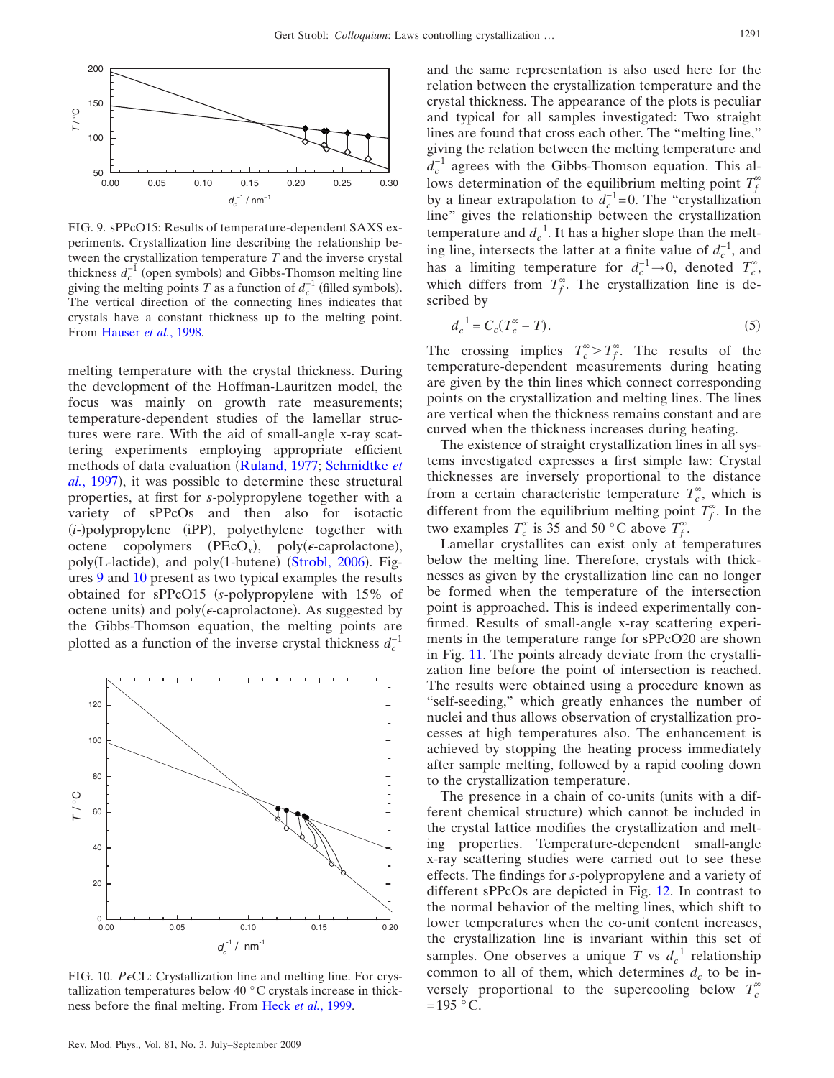<span id="page-4-0"></span>

FIG. 9. sPPcO15: Results of temperature-dependent SAXS experiments. Crystallization line describing the relationship between the crystallization temperature *T* and the inverse crystal thickness  $d_c^{-1}$  (open symbols) and Gibbs-Thomson melting line giving the melting points *T* as a function of  $d_c^{-1}$  (filled symbols). The vertical direction of the connecting lines indicates that crystals have a constant thickness up to the melting point. From [Hauser](#page-12-4) *et al.*, 1998.

melting temperature with the crystal thickness. During the development of the Hoffman-Lauritzen model, the focus was mainly on growth rate measurements; temperature-dependent studies of the lamellar structures were rare. With the aid of small-angle x-ray scattering experiments employing appropriate efficient methods of data evaluation ([Ruland, 1977;](#page-13-7) [Schmidtke](#page-13-8) *et* al.[, 1997](#page-13-8)), it was possible to determine these structural properties, at first for *s*-polypropylene together with a variety of sPPcOs and then also for isotactic (*i*-)polypropylene (iPP), polyethylene together with octene copolymers  $(PECO_x)$ , poly( $\epsilon$ -caprolactone), poly(L-lactide), and poly(1-butene) ([Strobl, 2006](#page-13-9)). Figures [9](#page-4-0) and [10](#page-4-1) present as two typical examples the results obtained for sPPcO15 *s*-polypropylene with 15% of octene units) and  $poly(\epsilon$ -caprolactone). As suggested by the Gibbs-Thomson equation, the melting points are plotted as a function of the inverse crystal thickness  $d_c^{-1}$ 

<span id="page-4-1"></span>

FIG. 10. *P* $\epsilon$ CL: Crystallization line and melting line. For crystallization temperatures below 40 °C crystals increase in thickness before the final melting. From Heck *et al.*[, 1999.](#page-12-5)

and the same representation is also used here for the relation between the crystallization temperature and the crystal thickness. The appearance of the plots is peculiar and typical for all samples investigated: Two straight lines are found that cross each other. The "melting line," giving the relation between the melting temperature and  $d_c^{-1}$  agrees with the Gibbs-Thomson equation. This allows determination of the equilibrium melting point  $T_f^{\infty}$ by a linear extrapolation to  $d_c^{-1}=0$ . The "crystallization" line" gives the relationship between the crystallization temperature and  $d_c^{-1}$ . It has a higher slope than the melting line, intersects the latter at a finite value of  $d_c^{-1}$ , and has a limiting temperature for  $d_c^{-1} \rightarrow 0$ , denoted  $T_c^{\infty}$ , which differs from  $T_f^{\infty}$ . The crystallization line is described by

<span id="page-4-2"></span>
$$
d_c^{-1} = C_c(T_c^{\infty} - T). \tag{5}
$$

The crossing implies  $T_c^{\infty} > T_f^{\infty}$ . The results of the temperature-dependent measurements during heating are given by the thin lines which connect corresponding points on the crystallization and melting lines. The lines are vertical when the thickness remains constant and are curved when the thickness increases during heating.

The existence of straight crystallization lines in all systems investigated expresses a first simple law: Crystal thicknesses are inversely proportional to the distance from a certain characteristic temperature  $T_c^{\infty}$ , which is different from the equilibrium melting point  $T_f^{\infty}$ . In the two examples  $T_c^{\infty}$  is 35 and 50 °C above  $T_f^{\infty}$ .

Lamellar crystallites can exist only at temperatures below the melting line. Therefore, crystals with thicknesses as given by the crystallization line can no longer be formed when the temperature of the intersection point is approached. This is indeed experimentally confirmed. Results of small-angle x-ray scattering experiments in the temperature range for sPPcO20 are shown in Fig. [11.](#page-5-0) The points already deviate from the crystallization line before the point of intersection is reached. The results were obtained using a procedure known as "self-seeding," which greatly enhances the number of nuclei and thus allows observation of crystallization processes at high temperatures also. The enhancement is achieved by stopping the heating process immediately after sample melting, followed by a rapid cooling down to the crystallization temperature.

The presence in a chain of co-units (units with a different chemical structure) which cannot be included in the crystal lattice modifies the crystallization and melting properties. Temperature-dependent small-angle x-ray scattering studies were carried out to see these effects. The findings for *s*-polypropylene and a variety of different sPPcOs are depicted in Fig. [12.](#page-5-1) In contrast to the normal behavior of the melting lines, which shift to lower temperatures when the co-unit content increases, the crystallization line is invariant within this set of samples. One observes a unique *T* vs  $d_c^{-1}$  relationship common to all of them, which determines  $d_c$  to be inversely proportional to the supercooling below  $T_c^{\infty}$  $=195$  °C.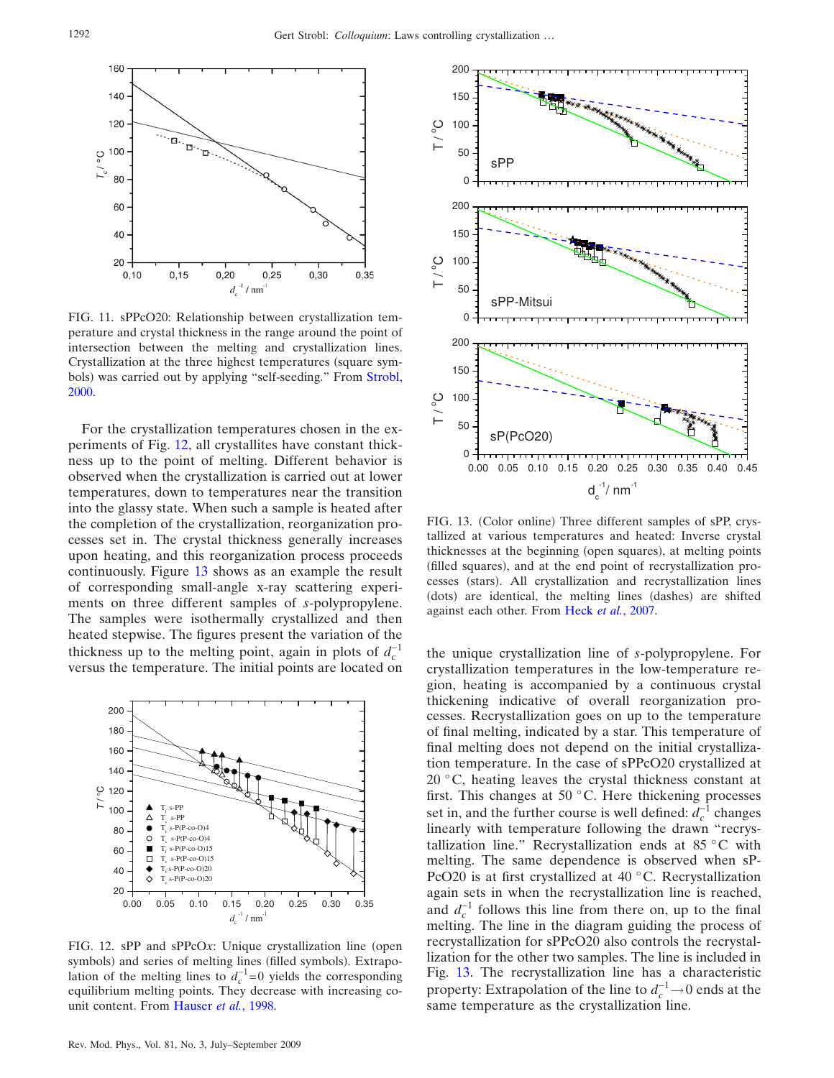<span id="page-5-0"></span>

FIG. 11. sPPcO20: Relationship between crystallization temperature and crystal thickness in the range around the point of intersection between the melting and crystallization lines. Crystallization at the three highest temperatures (square sym-bols) was carried out by applying "self-seeding." From [Strobl,](#page-13-10) [2000.](#page-13-10)

For the crystallization temperatures chosen in the experiments of Fig. [12,](#page-5-1) all crystallites have constant thickness up to the point of melting. Different behavior is observed when the crystallization is carried out at lower temperatures, down to temperatures near the transition into the glassy state. When such a sample is heated after the completion of the crystallization, reorganization processes set in. The crystal thickness generally increases upon heating, and this reorganization process proceeds continuously. Figure [13](#page-5-2) shows as an example the result of corresponding small-angle x-ray scattering experiments on three different samples of *s*-polypropylene. The samples were isothermally crystallized and then heated stepwise. The figures present the variation of the thickness up to the melting point, again in plots of  $d_c^{-1}$ versus the temperature. The initial points are located on

<span id="page-5-1"></span>

FIG. 12. sPP and sPPcOx: Unique crystallization line (open symbols) and series of melting lines (filled symbols). Extrapolation of the melting lines to  $d_c^{-1}=0$  yields the corresponding equilibrium melting points. They decrease with increasing counit content. From [Hauser](#page-12-4) *et al.*, 1998.

<span id="page-5-2"></span>

FIG. 13. (Color online) Three different samples of sPP, crystallized at various temperatures and heated: Inverse crystal thicknesses at the beginning (open squares), at melting points (filled squares), and at the end point of recrystallization processes (stars). All crystallization and recrystallization lines (dots) are identical, the melting lines (dashes) are shifted against each other. From Heck *et al.*[, 2007.](#page-12-6)

the unique crystallization line of *s*-polypropylene. For crystallization temperatures in the low-temperature region, heating is accompanied by a continuous crystal thickening indicative of overall reorganization processes. Recrystallization goes on up to the temperature of final melting, indicated by a star. This temperature of final melting does not depend on the initial crystallization temperature. In the case of sPPcO20 crystallized at 20 °C, heating leaves the crystal thickness constant at first. This changes at 50 °C. Here thickening processes set in, and the further course is well defined:  $d_c^{-1}$  changes linearly with temperature following the drawn "recrystallization line." Recrystallization ends at 85 °C with melting. The same dependence is observed when sP-PcO20 is at first crystallized at 40 °C. Recrystallization again sets in when the recrystallization line is reached, and  $d_c^{-1}$  follows this line from there on, up to the final melting. The line in the diagram guiding the process of recrystallization for sPPcO20 also controls the recrystallization for the other two samples. The line is included in Fig. [13.](#page-5-2) The recrystallization line has a characteristic property: Extrapolation of the line to  $d_c^{-1} \rightarrow 0$  ends at the same temperature as the crystallization line.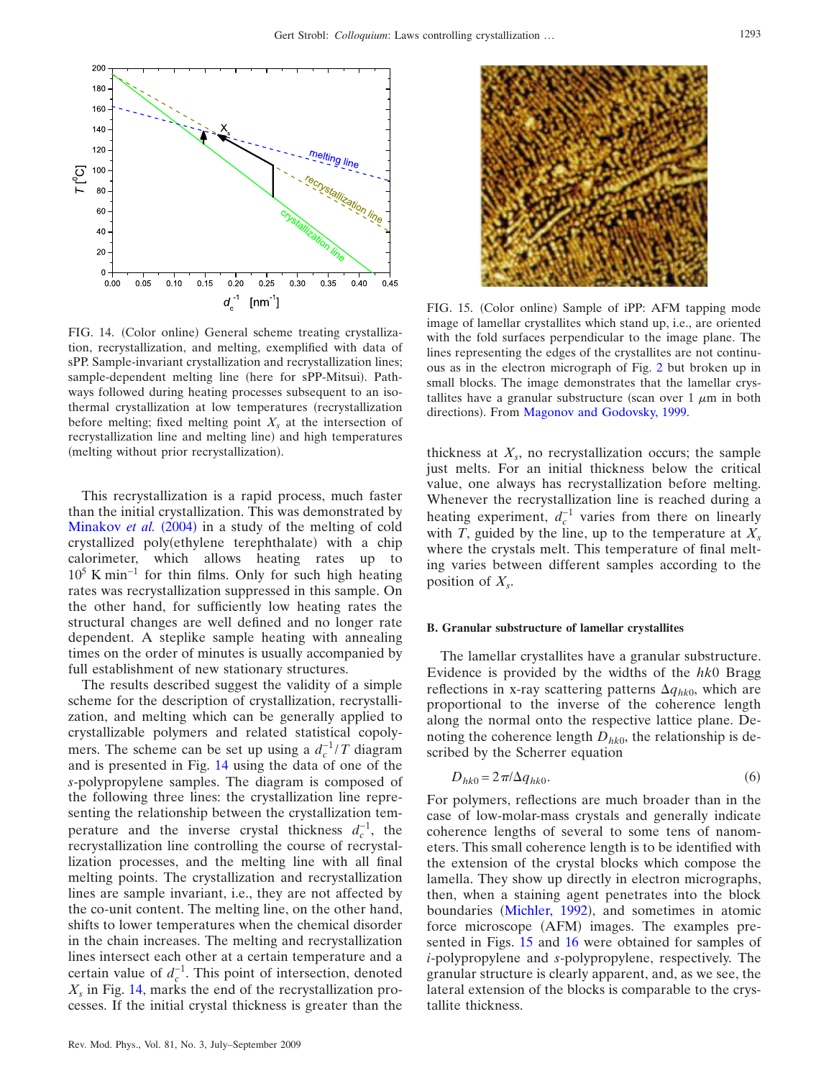<span id="page-6-0"></span>

FIG. 14. (Color online) General scheme treating crystallization, recrystallization, and melting, exemplified with data of sPP. Sample-invariant crystallization and recrystallization lines; sample-dependent melting line (here for sPP-Mitsui). Pathways followed during heating processes subsequent to an isothermal crystallization at low temperatures (recrystallization before melting; fixed melting point  $X<sub>s</sub>$  at the intersection of recrystallization line and melting line) and high temperatures (melting without prior recrystallization).

This recrystallization is a rapid process, much faster than the initial crystallization. This was demonstrated by [Minakov](#page-13-11) et al. (2004) in a study of the melting of cold crystallized poly(ethylene terephthalate) with a chip calorimeter, which allows heating rates up to  $10^5$  K min<sup>-1</sup> for thin films. Only for such high heating rates was recrystallization suppressed in this sample. On the other hand, for sufficiently low heating rates the structural changes are well defined and no longer rate dependent. A steplike sample heating with annealing times on the order of minutes is usually accompanied by full establishment of new stationary structures.

The results described suggest the validity of a simple scheme for the description of crystallization, recrystallization, and melting which can be generally applied to crystallizable polymers and related statistical copolymers. The scheme can be set up using a  $d_c^{-1}/T$  diagram and is presented in Fig. [14](#page-6-0) using the data of one of the *s*-polypropylene samples. The diagram is composed of the following three lines: the crystallization line representing the relationship between the crystallization temperature and the inverse crystal thickness  $d_c^{-1}$ , the recrystallization line controlling the course of recrystallization processes, and the melting line with all final melting points. The crystallization and recrystallization lines are sample invariant, i.e., they are not affected by the co-unit content. The melting line, on the other hand, shifts to lower temperatures when the chemical disorder in the chain increases. The melting and recrystallization lines intersect each other at a certain temperature and a certain value of  $d_c^{-1}$ . This point of intersection, denoted  $X<sub>s</sub>$  in Fig. [14,](#page-6-0) marks the end of the recrystallization processes. If the initial crystal thickness is greater than the

<span id="page-6-1"></span>

FIG. 15. (Color online) Sample of iPP: AFM tapping mode image of lamellar crystallites which stand up, i.e., are oriented with the fold surfaces perpendicular to the image plane. The lines representing the edges of the crystallites are not continuous as in the electron micrograph of Fig. [2](#page-1-1) but broken up in small blocks. The image demonstrates that the lamellar crystallites have a granular substructure (scan over 1  $\mu$ m in both directions). From [Magonov and Godovsky, 1999.](#page-13-13)

thickness at  $X_s$ , no recrystallization occurs; the sample just melts. For an initial thickness below the critical value, one always has recrystallization before melting. Whenever the recrystallization line is reached during a heating experiment,  $d_c^{-1}$  varies from there on linearly with *T*, guided by the line, up to the temperature at  $X_s$ where the crystals melt. This temperature of final melting varies between different samples according to the position of  $X_s$ .

#### **B. Granular substructure of lamellar crystallites**

The lamellar crystallites have a granular substructure. Evidence is provided by the widths of the *hk*0 Bragg reflections in x-ray scattering patterns  $\Delta q_{hk0}$ , which are proportional to the inverse of the coherence length along the normal onto the respective lattice plane. Denoting the coherence length  $D_{hk0}$ , the relationship is described by the Scherrer equation

$$
D_{hk0} = 2\pi/\Delta q_{hk0}.\tag{6}
$$

For polymers, reflections are much broader than in the case of low-molar-mass crystals and generally indicate coherence lengths of several to some tens of nanometers. This small coherence length is to be identified with the extension of the crystal blocks which compose the lamella. They show up directly in electron micrographs, then, when a staining agent penetrates into the block boundaries ([Michler, 1992](#page-13-12)), and sometimes in atomic force microscope (AFM) images. The examples presented in Figs. [15](#page-6-1) and [16](#page-7-0) were obtained for samples of *i*-polypropylene and *s*-polypropylene, respectively. The granular structure is clearly apparent, and, as we see, the lateral extension of the blocks is comparable to the crystallite thickness.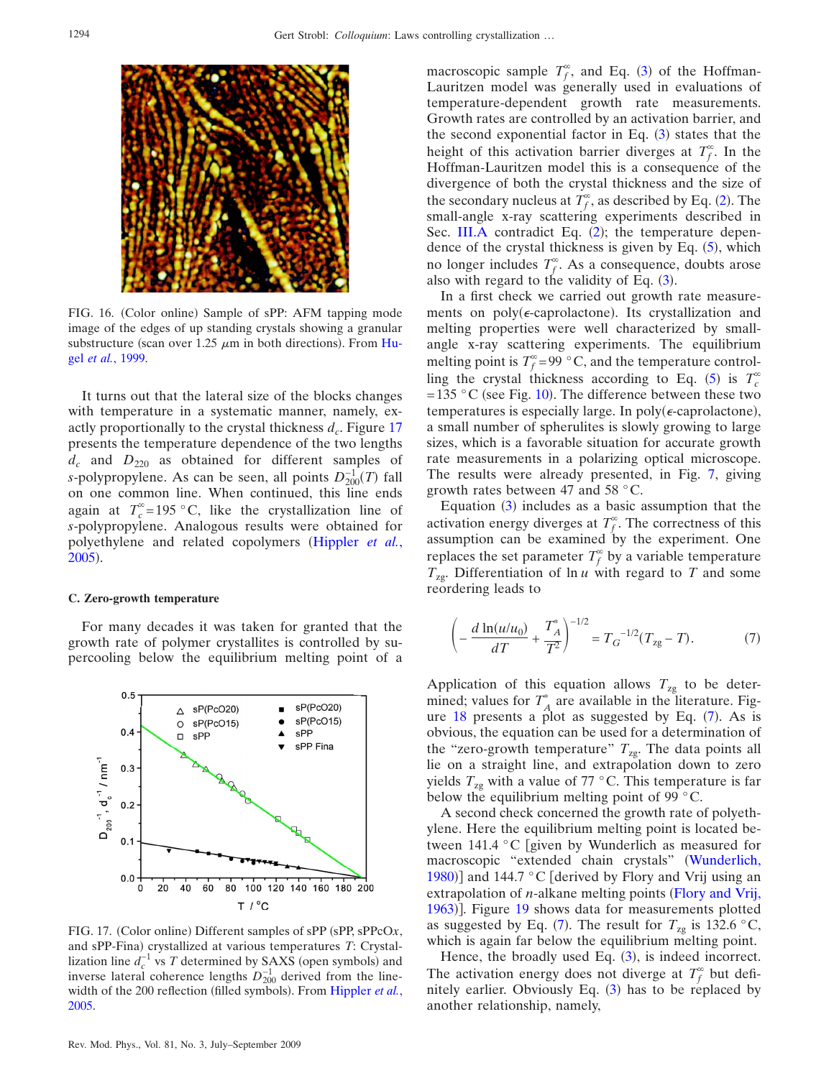<span id="page-7-0"></span>

FIG. 16. (Color online) Sample of sPP: AFM tapping mode image of the edges of up standing crystals showing a granular substructure (scan over 1.25  $\mu$ m in both directions). From [Hu](#page-12-8)gel *et al.*[, 1999.](#page-12-8)

It turns out that the lateral size of the blocks changes with temperature in a systematic manner, namely, exactly proportionally to the crystal thickness  $d_c$ . Figure [17](#page-7-1) presents the temperature dependence of the two lengths  $d_c$  and  $D_{220}$  as obtained for different samples of *s*-polypropylene. As can be seen, all points  $D_{200}^{-1}(T)$  fall on one common line. When continued, this line ends again at  $T_c^{\infty} = 195$  °C, like the crystallization line of *s*-polypropylene. Analogous results were obtained for polyethylene and related copolymers ([Hippler](#page-12-1) *et al.*, [2005](#page-12-1)).

#### **C. Zero-growth temperature**

For many decades it was taken for granted that the growth rate of polymer crystallites is controlled by supercooling below the equilibrium melting point of a

<span id="page-7-1"></span>

FIG. 17. (Color online) Different samples of sPP (sPP, sPPcOx, and sPP-Fina) crystallized at various temperatures *T*: Crystallization line  $d_c^{-1}$  vs *T* determined by SAXS (open symbols) and inverse lateral coherence lengths  $D_{200}^{-1}$  derived from the line-width of the 200 reflection (filled symbols). From [Hippler](#page-12-1) et al., [2005.](#page-12-1)

macroscopic sample  $T_f^{\infty}$ , and Eq. ([3](#page-3-3)) of the Hoffman-Lauritzen model was generally used in evaluations of temperature-dependent growth rate measurements. Growth rates are controlled by an activation barrier, and the second exponential factor in Eq.  $(3)$  $(3)$  $(3)$  states that the height of this activation barrier diverges at  $T_f^{\infty}$ . In the Hoffman-Lauritzen model this is a consequence of the divergence of both the crystal thickness and the size of the secondary nucleus at  $T_f^{\infty}$ , as described by Eq. ([2](#page-3-4)). The small-angle x-ray scattering experiments described in Sec. [III.A](#page-3-5) contradict Eq. ([2](#page-3-4)); the temperature dependence of the crystal thickness is given by Eq.  $(5)$  $(5)$  $(5)$ , which no longer includes  $T_f^{\infty}$ . As a consequence, doubts arose also with regard to the validity of Eq.  $(3)$  $(3)$  $(3)$ .

In a first check we carried out growth rate measurements on poly(e-caprolactone). Its crystallization and melting properties were well characterized by smallangle x-ray scattering experiments. The equilibrium melting point is  $T_f^{\infty} = 99$  °C, and the temperature control-ling the crystal thickness according to Eq. ([5](#page-4-2)) is  $T_c^{\infty}$ =135 °C (see Fig. [10](#page-4-1)). The difference between these two temperatures is especially large. In poly( $\epsilon$ -caprolactone), a small number of spherulites is slowly growing to large sizes, which is a favorable situation for accurate growth rate measurements in a polarizing optical microscope. The results were already presented, in Fig. [7,](#page-2-2) giving growth rates between 47 and 58 °C.

Equation ([3](#page-3-3)) includes as a basic assumption that the activation energy diverges at  $T_f^{\infty}$ . The correctness of this assumption can be examined by the experiment. One replaces the set parameter  $T_f^{\infty}$  by a variable temperature *T*zg. Differentiation of ln *u* with regard to *T* and some reordering leads to

<span id="page-7-2"></span>
$$
\left(-\frac{d\ln(u/u_0)}{dT} + \frac{T_A^*}{T^2}\right)^{-1/2} = T_G^{-1/2}(T_{\text{zg}} - T). \tag{7}
$$

Application of this equation allows  $T_{\text{zg}}$  to be determined; values for  $T_A^*$  are available in the literature. Figure  $18$  presents a plot as suggested by Eq.  $(7)$  $(7)$  $(7)$ . As is obvious, the equation can be used for a determination of the "zero-growth temperature"  $T_{\text{zg}}$ . The data points all lie on a straight line, and extrapolation down to zero yields  $T_{\text{zg}}$  with a value of 77 °C. This temperature is far below the equilibrium melting point of 99 °C.

A second check concerned the growth rate of polyethylene. Here the equilibrium melting point is located between 141.4 °C given by Wunderlich as measured for macroscopic "extended chain crystals" ([Wunderlich,](#page-13-14) [1980](#page-13-14))] and 144.7 °C [derived by Flory and Vrij using an extrapolation of *n*-alkane melting points ([Flory and Vrij,](#page-12-7) [1963](#page-12-7))]. Figure [19](#page-8-2) shows data for measurements plotted as suggested by Eq. ([7](#page-7-2)). The result for  $T_{\text{zg}}$  is 132.6 °C, which is again far below the equilibrium melting point.

Hence, the broadly used Eq.  $(3)$  $(3)$  $(3)$ , is indeed incorrect. The activation energy does not diverge at  $T_f^{\infty}$  but definitely earlier. Obviously Eq.  $(3)$  $(3)$  $(3)$  has to be replaced by another relationship, namely,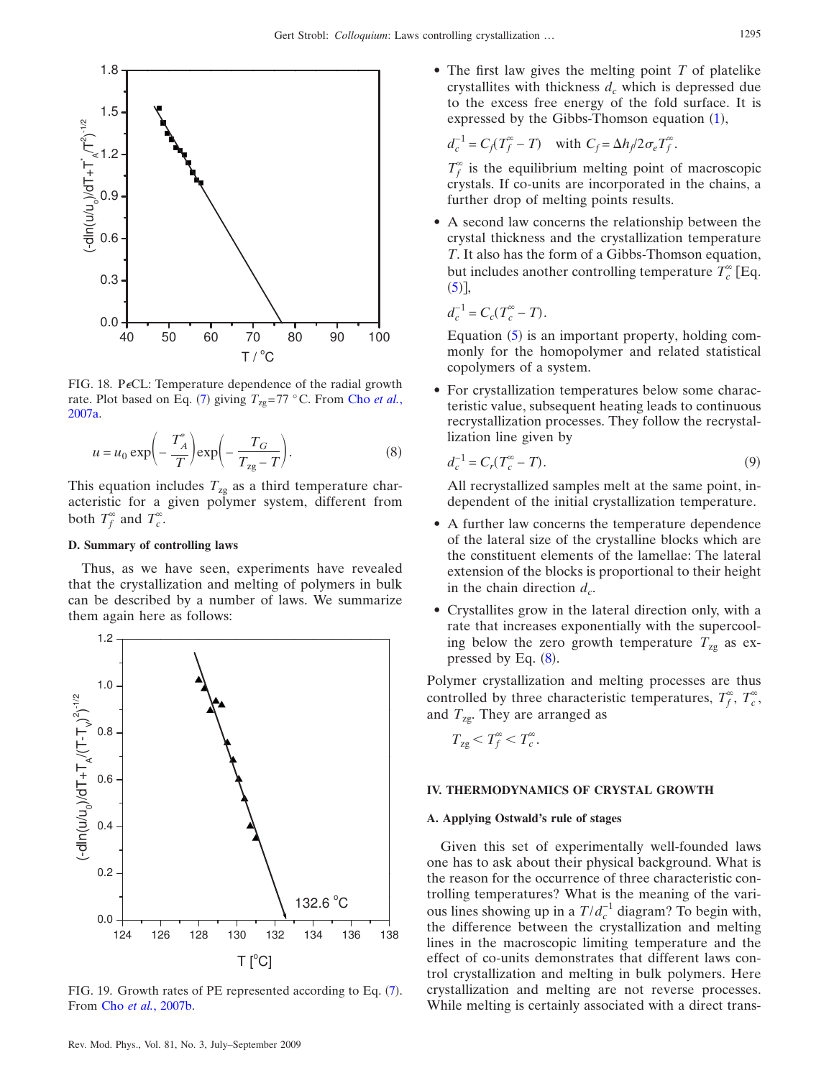<span id="page-8-1"></span>

FIG. 18. PeCL: Temperature dependence of the radial growth rate. Plot based on Eq. ([7](#page-7-2)) giving  $T_{\text{zg}} = 77 \text{ }^{\circ}\text{C}$ . From Cho *[et al.](#page-12-3)*, [2007a.](#page-12-3)

<span id="page-8-3"></span>
$$
u = u_0 \exp\left(-\frac{T_A^*}{T}\right) \exp\left(-\frac{T_G}{T_{\text{zg}} - T}\right). \tag{8}
$$

This equation includes  $T_{\text{zg}}$  as a third temperature characteristic for a given polymer system, different from both  $T_f^{\infty}$  and  $T_c^{\infty}$ .

# **D. Summary of controlling laws**

Thus, as we have seen, experiments have revealed that the crystallization and melting of polymers in bulk can be described by a number of laws. We summarize them again here as follows:

<span id="page-8-2"></span>

FIG. 19. Growth rates of PE represented according to Eq. ([7](#page-7-2)). From Cho *et al.*[, 2007b.](#page-12-9)

• The first law gives the melting point *T* of platelike crystallites with thickness  $d_c$  which is depressed due to the excess free energy of the fold surface. It is expressed by the Gibbs-Thomson equation ([1](#page-3-2)),

$$
d_c^{-1} = C_f(T_f^{\infty} - T) \quad \text{with } C_f = \Delta h_f / 2\sigma_e T_f^{\infty}.
$$

 $T_f^{\infty}$  is the equilibrium melting point of macroscopic crystals. If co-units are incorporated in the chains, a further drop of melting points results.

• A second law concerns the relationship between the crystal thickness and the crystallization temperature *T*. It also has the form of a Gibbs-Thomson equation, but includes another controlling temperature  $T_c^{\infty}$  [Eq.  $(5)$  $(5)$  $(5)$ ],

$$
d_c^{-1} = C_c(T_c^{\infty} - T).
$$

Equation ([5](#page-4-2)) is an important property, holding commonly for the homopolymer and related statistical copolymers of a system.

• For crystallization temperatures below some characteristic value, subsequent heating leads to continuous recrystallization processes. They follow the recrystallization line given by

$$
d_c^{-1} = C_r(T_c^{\infty} - T). \tag{9}
$$

All recrystallized samples melt at the same point, independent of the initial crystallization temperature.

- A further law concerns the temperature dependence of the lateral size of the crystalline blocks which are the constituent elements of the lamellae: The lateral extension of the blocks is proportional to their height in the chain direction  $d_c$ .
- Crystallites grow in the lateral direction only, with a rate that increases exponentially with the supercooling below the zero growth temperature  $T_{\text{zg}}$  as expressed by Eq.  $(8)$  $(8)$  $(8)$ .

Polymer crystallization and melting processes are thus controlled by three characteristic temperatures,  $T_f^{\infty}$ ,  $T_c^{\infty}$ , and *T*zg. They are arranged as

$$
T_{\rm zg} < T_f^{\infty} < T_c^{\infty}.
$$

# <span id="page-8-0"></span>**IV. THERMODYNAMICS OF CRYSTAL GROWTH**

## **A. Applying Ostwald's rule of stages**

Given this set of experimentally well-founded laws one has to ask about their physical background. What is the reason for the occurrence of three characteristic controlling temperatures? What is the meaning of the various lines showing up in a  $T/d_c^{-1}$  diagram? To begin with, the difference between the crystallization and melting lines in the macroscopic limiting temperature and the effect of co-units demonstrates that different laws control crystallization and melting in bulk polymers. Here crystallization and melting are not reverse processes. While melting is certainly associated with a direct trans-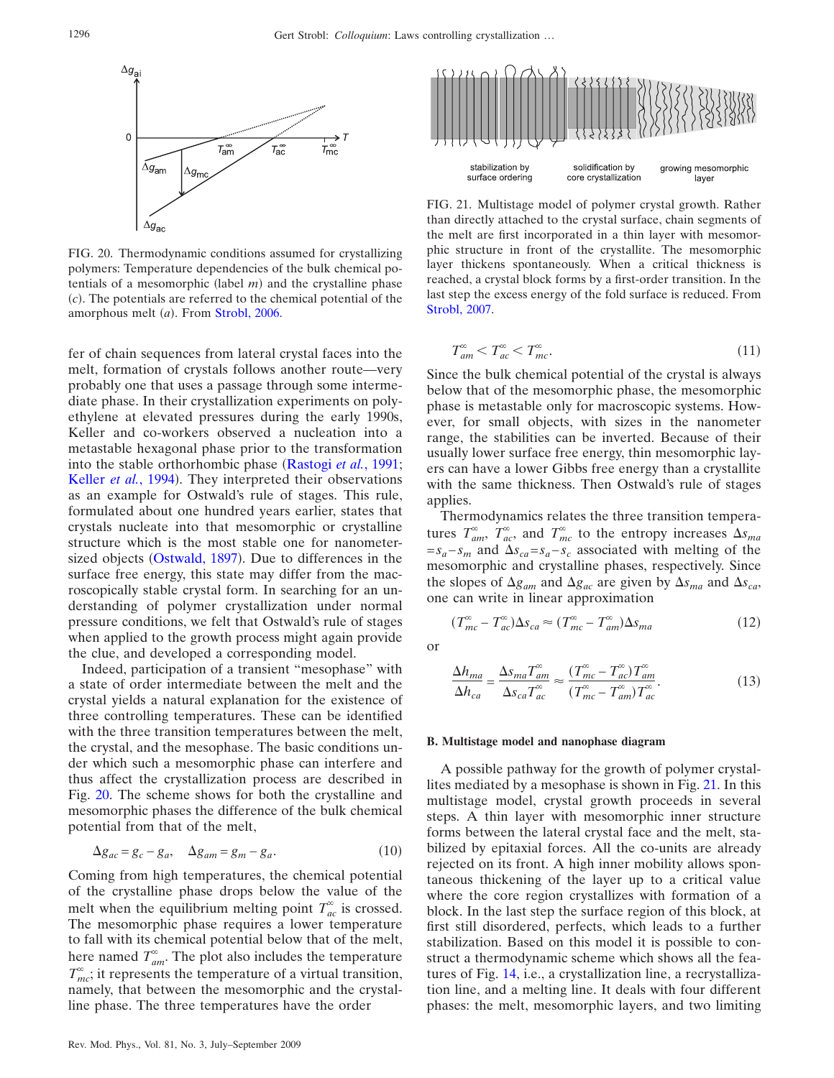<span id="page-9-0"></span>

FIG. 20. Thermodynamic conditions assumed for crystallizing polymers: Temperature dependencies of the bulk chemical potentials of a mesomorphic (label  $m$ ) and the crystalline phase  $(c)$ . The potentials are referred to the chemical potential of the amorphous melt (a). From [Strobl, 2006.](#page-13-9)

fer of chain sequences from lateral crystal faces into the melt, formation of crystals follows another route—very probably one that uses a passage through some intermediate phase. In their crystallization experiments on polyethylene at elevated pressures during the early 1990s, Keller and co-workers observed a nucleation into a metastable hexagonal phase prior to the transformation into the stable orthorhombic phase ([Rastogi](#page-13-3) et al., 1991; [Keller](#page-13-4) et al., 1994). They interpreted their observations as an example for Ostwald's rule of stages. This rule, formulated about one hundred years earlier, states that crystals nucleate into that mesomorphic or crystalline structure which is the most stable one for nanometer-sized objects ([Ostwald, 1897](#page-13-15)). Due to differences in the surface free energy, this state may differ from the macroscopically stable crystal form. In searching for an understanding of polymer crystallization under normal pressure conditions, we felt that Ostwald's rule of stages when applied to the growth process might again provide the clue, and developed a corresponding model.

Indeed, participation of a transient "mesophase" with a state of order intermediate between the melt and the crystal yields a natural explanation for the existence of three controlling temperatures. These can be identified with the three transition temperatures between the melt, the crystal, and the mesophase. The basic conditions under which such a mesomorphic phase can interfere and thus affect the crystallization process are described in Fig. [20.](#page-9-0) The scheme shows for both the crystalline and mesomorphic phases the difference of the bulk chemical potential from that of the melt,

$$
\Delta g_{ac} = g_c - g_a, \quad \Delta g_{am} = g_m - g_a. \tag{10}
$$

Coming from high temperatures, the chemical potential of the crystalline phase drops below the value of the melt when the equilibrium melting point  $T_{ac}^{\infty}$  is crossed. The mesomorphic phase requires a lower temperature to fall with its chemical potential below that of the melt, here named  $T_{am}^{\infty}$ . The plot also includes the temperature  $T_{mc}^{\infty}$ ; it represents the temperature of a virtual transition, namely, that between the mesomorphic and the crystalline phase. The three temperatures have the order

<span id="page-9-1"></span>

FIG. 21. Multistage model of polymer crystal growth. Rather than directly attached to the crystal surface, chain segments of the melt are first incorporated in a thin layer with mesomorphic structure in front of the crystallite. The mesomorphic layer thickens spontaneously. When a critical thickness is reached, a crystal block forms by a first-order transition. In the last step the excess energy of the fold surface is reduced. From [Strobl, 2007.](#page-13-0)

<span id="page-9-2"></span>
$$
T_{am}^{\infty} < T_{ac}^{\infty} < T_{mc}^{\infty}.\tag{11}
$$

Since the bulk chemical potential of the crystal is always below that of the mesomorphic phase, the mesomorphic phase is metastable only for macroscopic systems. However, for small objects, with sizes in the nanometer range, the stabilities can be inverted. Because of their usually lower surface free energy, thin mesomorphic layers can have a lower Gibbs free energy than a crystallite with the same thickness. Then Ostwald's rule of stages applies.

Thermodynamics relates the three transition temperatures  $T_{am}^{\infty}$ ,  $T_{ac}^{\infty}$ , and  $T_{mc}^{\infty}$  to the entropy increases  $\Delta s_{ma}$  $=s_a-s_m$  and  $\Delta s_{ca}=s_a-s_c$  associated with melting of the mesomorphic and crystalline phases, respectively. Since the slopes of  $\Delta g_{am}$  and  $\Delta g_{ac}$  are given by  $\Delta s_{ma}$  and  $\Delta s_{ca}$ , one can write in linear approximation

$$
(T_{mc}^{\infty} - T_{ac}^{\infty})\Delta s_{ca} \approx (T_{mc}^{\infty} - T_{am}^{\infty})\Delta s_{ma}
$$
 (12)

<span id="page-9-3"></span>or

$$
\frac{\Delta h_{ma}}{\Delta h_{ca}} = \frac{\Delta s_{ma} T_{am}^{\infty}}{\Delta s_{ca} T_{ac}^{\infty}} \approx \frac{(T_{mc}^{\infty} - T_{ac}^{\infty}) T_{am}^{\infty}}{(T_{mc}^{\infty} - T_{am}^{\infty}) T_{ac}^{\infty}}.
$$
\n(13)

#### **B. Multistage model and nanophase diagram**

A possible pathway for the growth of polymer crystallites mediated by a mesophase is shown in Fig. [21.](#page-9-1) In this multistage model, crystal growth proceeds in several steps. A thin layer with mesomorphic inner structure forms between the lateral crystal face and the melt, stabilized by epitaxial forces. All the co-units are already rejected on its front. A high inner mobility allows spontaneous thickening of the layer up to a critical value where the core region crystallizes with formation of a block. In the last step the surface region of this block, at first still disordered, perfects, which leads to a further stabilization. Based on this model it is possible to construct a thermodynamic scheme which shows all the features of Fig. [14,](#page-6-0) i.e., a crystallization line, a recrystallization line, and a melting line. It deals with four different phases: the melt, mesomorphic layers, and two limiting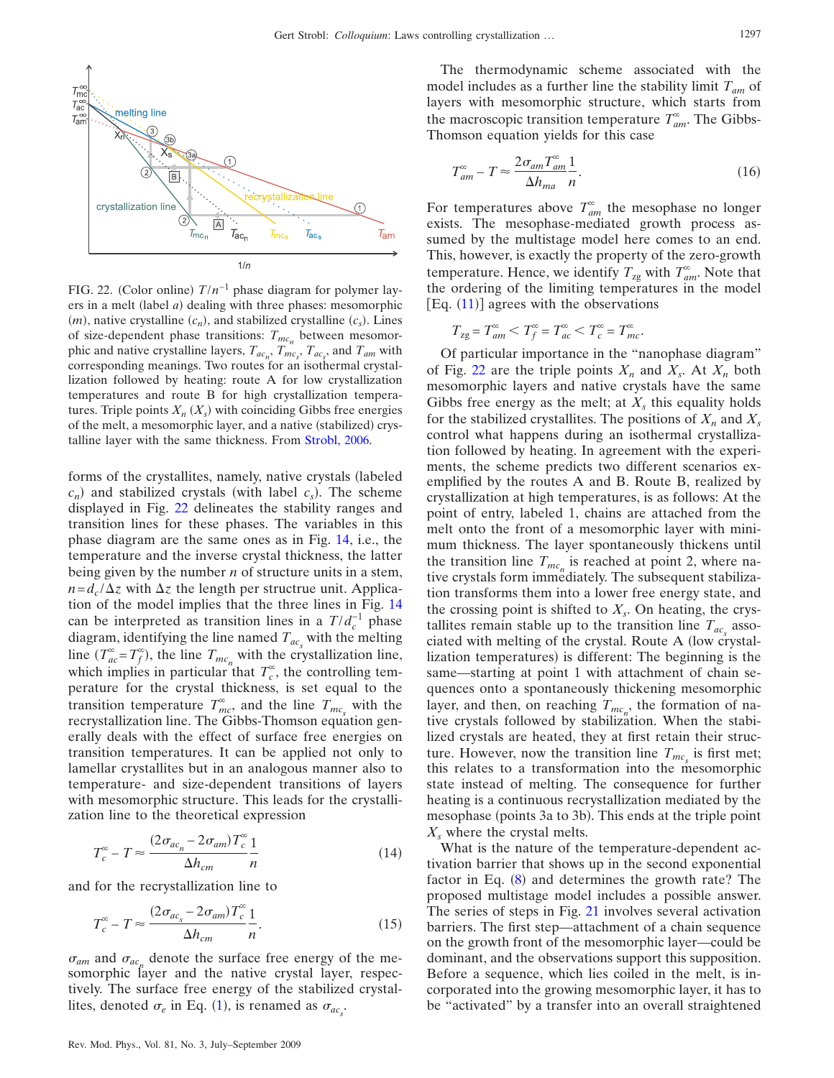<span id="page-10-0"></span>

FIG. 22. (Color online)  $T/n^{-1}$  phase diagram for polymer layers in a melt (label *a*) dealing with three phases: mesomorphic  $(m)$ , native crystalline  $(c_n)$ , and stabilized crystalline  $(c_s)$ . Lines of size-dependent phase transitions:  $T_{mc_n}$  between mesomorphic and native crystalline layers,  $T_{ac_n}$ ,  $T_{mc_s}$ ,  $T_{ac_s}$ , and  $T_{am}$  with corresponding meanings. Two routes for an isothermal crystallization followed by heating: route A for low crystallization temperatures and route B for high crystallization temperatures. Triple points  $X_n$   $(X_s)$  with coinciding Gibbs free energies of the melt, a mesomorphic layer, and a native (stabilized) crystalline layer with the same thickness. From [Strobl, 2006.](#page-13-9)

forms of the crystallites, namely, native crystals (labeled  $c_n$ ) and stabilized crystals (with label  $c_s$ ). The scheme displayed in Fig. [22](#page-10-0) delineates the stability ranges and transition lines for these phases. The variables in this phase diagram are the same ones as in Fig. [14,](#page-6-0) i.e., the temperature and the inverse crystal thickness, the latter being given by the number *n* of structure units in a stem,  $n = d_c / \Delta z$  with  $\Delta z$  the length per structrue unit. Application of the model implies that the three lines in Fig. [14](#page-6-0) can be interpreted as transition lines in a  $T/d_c^{-1}$  phase diagram, identifying the line named  $T_{ac,s}$  with the melting line  $(T_{ac}^{\infty} = T_f^{\infty})$ , the line  $T_{mc_n}$  with the crystallization line, which implies in particular that  $T_c^{\infty}$ , the controlling temperature for the crystal thickness, is set equal to the transition temperature  $T_{mc}^{\infty}$ , and the line  $T_{mc_s}$  with the recrystallization line. The Gibbs-Thomson equation generally deals with the effect of surface free energies on transition temperatures. It can be applied not only to lamellar crystallites but in an analogous manner also to temperature- and size-dependent transitions of layers with mesomorphic structure. This leads for the crystallization line to the theoretical expression

<span id="page-10-2"></span>
$$
T_c^{\infty} - T \approx \frac{(2\sigma_{ac_n} - 2\sigma_{am})T_c^{\infty}}{\Delta h_{cm}} \frac{1}{n}
$$
 (14)

<span id="page-10-3"></span>and for the recrystallization line to

$$
T_c^{\infty} - T \approx \frac{(2\sigma_{ac_s} - 2\sigma_{am})T_c^{\infty}}{\Delta h_{cm}} \frac{1}{n}.
$$
 (15)

 $\sigma_{am}$  and  $\sigma_{ac}$  denote the surface free energy of the mesomorphic layer and the native crystal layer, respectively. The surface free energy of the stabilized crystallites, denoted  $\sigma_e$  in Eq. ([1](#page-3-2)), is renamed as  $\sigma_{ac_s}$ .

The thermodynamic scheme associated with the model includes as a further line the stability limit  $T_{am}$  of layers with mesomorphic structure, which starts from the macroscopic transition temperature  $T_{am}^{\infty}$ . The Gibbs-Thomson equation yields for this case

<span id="page-10-1"></span>
$$
T_{am}^{\infty} - T \approx \frac{2\sigma_{am} T_{am}^{\infty}}{\Delta h_{ma}} \frac{1}{n}.
$$
\n(16)

For temperatures above  $T_{am}^{\infty}$  the mesophase no longer exists. The mesophase-mediated growth process assumed by the multistage model here comes to an end. This, however, is exactly the property of the zero-growth temperature. Hence, we identify  $T_{\text{zg}}$  with  $T_{\text{am}}^{\infty}$ . Note that the ordering of the limiting temperatures in the model  $[Eq. (11)]$  $[Eq. (11)]$  $[Eq. (11)]$  agrees with the observations

$$
T_{\rm zg} = T_{\rm am}^{\infty} < T_f^{\infty} = T_{\rm ac}^{\infty} < T_c^{\infty} = T_{\rm mc}^{\infty}.
$$

Of particular importance in the "nanophase diagram" of Fig. [22](#page-10-0) are the triple points  $X_n$  and  $X_s$ . At  $X_n$  both mesomorphic layers and native crystals have the same Gibbs free energy as the melt; at  $X<sub>s</sub>$  this equality holds for the stabilized crystallites. The positions of  $X_n$  and  $X_s$ control what happens during an isothermal crystallization followed by heating. In agreement with the experiments, the scheme predicts two different scenarios exemplified by the routes A and B. Route B, realized by crystallization at high temperatures, is as follows: At the point of entry, labeled 1, chains are attached from the melt onto the front of a mesomorphic layer with minimum thickness. The layer spontaneously thickens until the transition line  $T_{mc}$  is reached at point 2, where native crystals form immediately. The subsequent stabilization transforms them into a lower free energy state, and the crossing point is shifted to  $X_s$ . On heating, the crystallites remain stable up to the transition line  $T_{ac}$  associated with melting of the crystal. Route A low crystallization temperatures) is different: The beginning is the same—starting at point 1 with attachment of chain sequences onto a spontaneously thickening mesomorphic layer, and then, on reaching  $T_{mc_n}$ , the formation of native crystals followed by stabilization. When the stabilized crystals are heated, they at first retain their structure. However, now the transition line  $T_{mc<sub>s</sub>}$  is first met; this relates to a transformation into the mesomorphic state instead of melting. The consequence for further heating is a continuous recrystallization mediated by the mesophase (points 3a to 3b). This ends at the triple point *Xs* where the crystal melts.

What is the nature of the temperature-dependent activation barrier that shows up in the second exponential factor in Eq. ([8](#page-8-3)) and determines the growth rate? The proposed multistage model includes a possible answer. The series of steps in Fig. [21](#page-9-1) involves several activation barriers. The first step—attachment of a chain sequence on the growth front of the mesomorphic layer—could be dominant, and the observations support this supposition. Before a sequence, which lies coiled in the melt, is incorporated into the growing mesomorphic layer, it has to be "activated" by a transfer into an overall straightened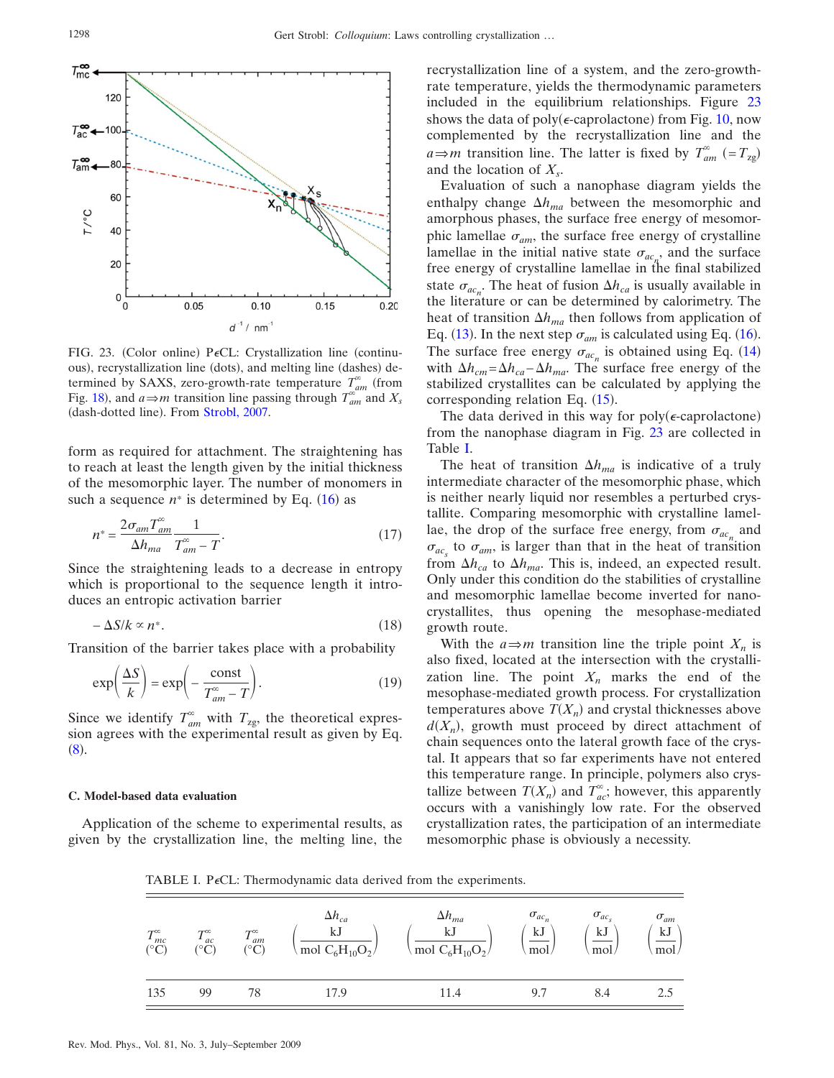<span id="page-11-0"></span>

FIG. 23. (Color online) PeCL: Crystallization line (continuous), recrystallization line (dots), and melting line (dashes) determined by SAXS, zero-growth-rate temperature  $T_{am}^{\infty}$  (from Fig. [18](#page-8-1)), and  $a \Rightarrow m$  transition line passing through  $T_{am}^{\infty}$  and  $X_s$ (dash-dotted line). From [Strobl, 2007.](#page-13-0)

form as required for attachment. The straightening has to reach at least the length given by the initial thickness of the mesomorphic layer. The number of monomers in such a sequence  $n^*$  is determined by Eq.  $(16)$  $(16)$  $(16)$  as

$$
n^* = \frac{2\sigma_{am}T_{am}^{\infty}}{\Delta h_{ma}} \frac{1}{T_{am}^{\infty} - T}.
$$
\n(17)

Since the straightening leads to a decrease in entropy which is proportional to the sequence length it introduces an entropic activation barrier

$$
-\Delta S/k \propto n^*.\tag{18}
$$

Transition of the barrier takes place with a probability

$$
\exp\left(\frac{\Delta S}{k}\right) = \exp\left(-\frac{\text{const}}{T_{am}^{\infty} - T}\right). \tag{19}
$$

Since we identify  $T_{am}^{\infty}$  with  $T_{\text{zg}}$ , the theoretical expression agrees with the experimental result as given by Eq.  $(8).$  $(8).$  $(8).$ 

#### **C. Model-based data evaluation**

<span id="page-11-1"></span>Application of the scheme to experimental results, as given by the crystallization line, the melting line, the recrystallization line of a system, and the zero-growthrate temperature, yields the thermodynamic parameters included in the equilibrium relationships. Figure [23](#page-11-0) shows the data of poly( $\epsilon$ -caprolactone) from Fig. [10,](#page-4-1) now complemented by the recrystallization line and the  $a \Rightarrow m$  transition line. The latter is fixed by  $T_{am}^{\infty}$  (=  $T_{zg}$ ) and the location of  $X_s$ .

Evaluation of such a nanophase diagram yields the enthalpy change  $\Delta h_{ma}$  between the mesomorphic and amorphous phases, the surface free energy of mesomorphic lamellae  $\sigma_{am}$ , the surface free energy of crystalline lamellae in the initial native state  $\sigma_{ac_{n}}$ , and the surface free energy of crystalline lamellae in the final stabilized state  $\sigma_{ac_n}$ . The heat of fusion  $\Delta h_{ca}$  is usually available in the literature or can be determined by calorimetry. The heat of transition  $\Delta h_{ma}$  then follows from application of Eq. ([13](#page-9-3)). In the next step  $\sigma_{am}$  is calculated using Eq. ([16](#page-10-1)). The surface free energy  $\sigma_{ac_n}$  is obtained using Eq. ([14](#page-10-2)) with  $Δh<sub>cm</sub> = Δh<sub>ca</sub> – Δh<sub>ma</sub>$ . The surface free energy of the stabilized crystallites can be calculated by applying the corresponding relation Eq.  $(15)$  $(15)$  $(15)$ .

The data derived in this way for poly( $\epsilon$ -caprolactone) from the nanophase diagram in Fig. [23](#page-11-0) are collected in Table [I.](#page-11-1)

The heat of transition  $\Delta h_{ma}$  is indicative of a truly intermediate character of the mesomorphic phase, which is neither nearly liquid nor resembles a perturbed crystallite. Comparing mesomorphic with crystalline lamellae, the drop of the surface free energy, from  $\sigma_{ac}$  and  $\sigma_{ac}$  to  $\sigma_{am}$ , is larger than that in the heat of transition from  $\Delta h_{ca}$  to  $\Delta h_{ma}$ . This is, indeed, an expected result. Only under this condition do the stabilities of crystalline and mesomorphic lamellae become inverted for nanocrystallites, thus opening the mesophase-mediated growth route.

With the  $a \Rightarrow m$  transition line the triple point  $X_n$  is also fixed, located at the intersection with the crystallization line. The point  $X_n$  marks the end of the mesophase-mediated growth process. For crystallization temperatures above  $T(X_n)$  and crystal thicknesses above  $d(X_n)$ , growth must proceed by direct attachment of chain sequences onto the lateral growth face of the crystal. It appears that so far experiments have not entered this temperature range. In principle, polymers also crystallize between  $T(X_n)$  and  $T_{ac}^{\infty}$ ; however, this apparently occurs with a vanishingly low rate. For the observed crystallization rates, the participation of an intermediate mesomorphic phase is obviously a necessity.

TABLE I. P $\epsilon$ CL: Thermodynamic data derived from the experiments.

| $T^{\infty}_{\infty}$<br>$\int_{C}^{L}$ | $\tau^{\infty}$<br>$\int_{C}^{L}$ | $\tau^{\infty}$<br>am<br>$(^\circ C)$ | $\Delta h_{ca}$<br>kJ<br>mol C <sub>6</sub> H <sub>10</sub> O <sub>2</sub> / | $\Delta h_{ma}$<br>kJ<br>mol $C_6H_{10}O_2$ | $\sigma_{ac_n}$<br>kJ<br>mol/ | $\sigma_{ac}$<br>kJ<br>mol/ | $\sigma_{am}$<br>kJ<br>mol |
|-----------------------------------------|-----------------------------------|---------------------------------------|------------------------------------------------------------------------------|---------------------------------------------|-------------------------------|-----------------------------|----------------------------|
| 135                                     | 99                                | 78                                    | 17.9                                                                         | 11.4                                        | 9.7                           | 8.4                         | 2.5                        |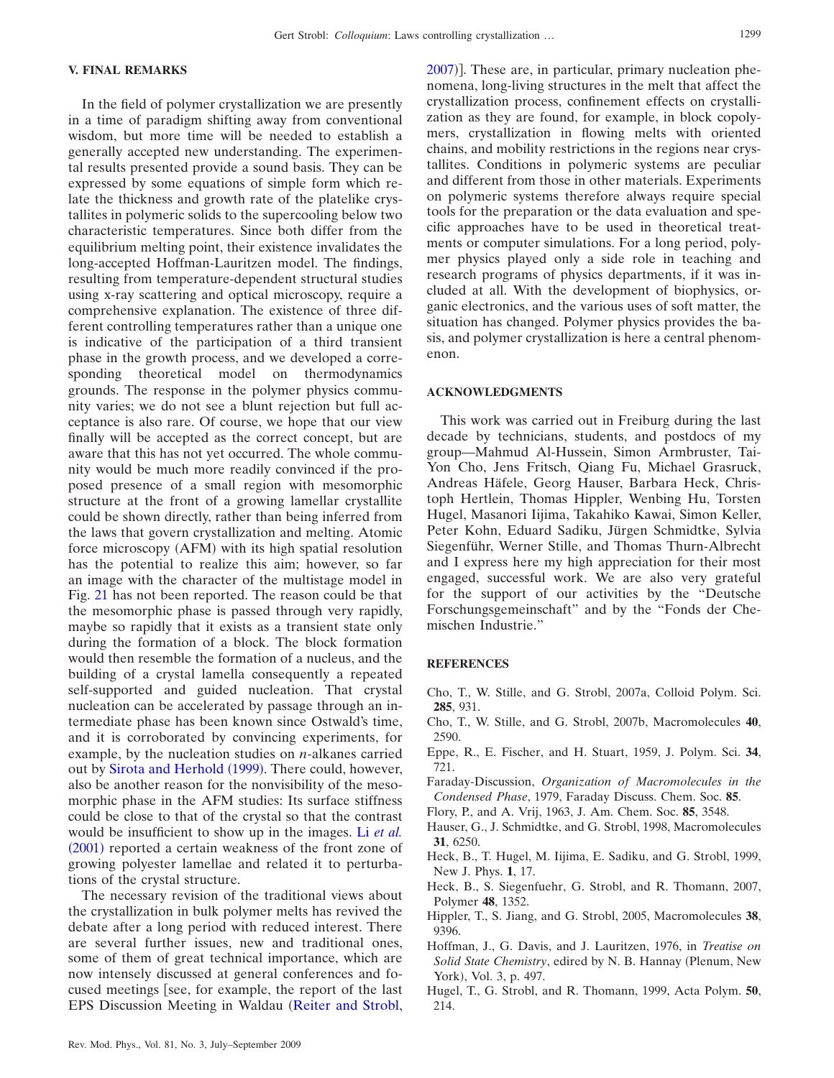## **V. FINAL REMARKS**

In the field of polymer crystallization we are presently in a time of paradigm shifting away from conventional wisdom, but more time will be needed to establish a generally accepted new understanding. The experimental results presented provide a sound basis. They can be expressed by some equations of simple form which relate the thickness and growth rate of the platelike crystallites in polymeric solids to the supercooling below two characteristic temperatures. Since both differ from the equilibrium melting point, their existence invalidates the long-accepted Hoffman-Lauritzen model. The findings, resulting from temperature-dependent structural studies using x-ray scattering and optical microscopy, require a comprehensive explanation. The existence of three different controlling temperatures rather than a unique one is indicative of the participation of a third transient phase in the growth process, and we developed a corresponding theoretical model on thermodynamics grounds. The response in the polymer physics community varies; we do not see a blunt rejection but full acceptance is also rare. Of course, we hope that our view finally will be accepted as the correct concept, but are aware that this has not yet occurred. The whole community would be much more readily convinced if the proposed presence of a small region with mesomorphic structure at the front of a growing lamellar crystallite could be shown directly, rather than being inferred from the laws that govern crystallization and melting. Atomic force microscopy (AFM) with its high spatial resolution has the potential to realize this aim; however, so far an image with the character of the multistage model in Fig. [21](#page-9-1) has not been reported. The reason could be that the mesomorphic phase is passed through very rapidly, maybe so rapidly that it exists as a transient state only during the formation of a block. The block formation would then resemble the formation of a nucleus, and the building of a crystal lamella consequently a repeated self-supported and guided nucleation. That crystal nucleation can be accelerated by passage through an intermediate phase has been known since Ostwald's time, and it is corroborated by convincing experiments, for example, by the nucleation studies on *n*-alkanes carried out by [Sirota and Herhold](#page-13-16) (1999). There could, however, also be another reason for the nonvisibility of the mesomorphic phase in the AFM studies: Its surface stiffness could be close to that of the crystal so that the contrast would be insufficient to show up in the images. Li *[et al.](#page-13-17)* ([2001](#page-13-17)) reported a certain weakness of the front zone of growing polyester lamellae and related it to perturbations of the crystal structure.

The necessary revision of the traditional views about the crystallization in bulk polymer melts has revived the debate after a long period with reduced interest. There are several further issues, new and traditional ones, some of them of great technical importance, which are now intensely discussed at general conferences and focused meetings [see, for example, the report of the last EPS Discussion Meeting in Waldau ([Reiter and Strobl,](#page-13-18)

[2007](#page-13-18))]. These are, in particular, primary nucleation phenomena, long-living structures in the melt that affect the crystallization process, confinement effects on crystallization as they are found, for example, in block copolymers, crystallization in flowing melts with oriented chains, and mobility restrictions in the regions near crystallites. Conditions in polymeric systems are peculiar and different from those in other materials. Experiments on polymeric systems therefore always require special tools for the preparation or the data evaluation and specific approaches have to be used in theoretical treatments or computer simulations. For a long period, polymer physics played only a side role in teaching and research programs of physics departments, if it was included at all. With the development of biophysics, organic electronics, and the various uses of soft matter, the situation has changed. Polymer physics provides the basis, and polymer crystallization is here a central phenomenon.

# **ACKNOWLEDGMENTS**

This work was carried out in Freiburg during the last decade by technicians, students, and postdocs of my group—Mahmud Al-Hussein, Simon Armbruster, Tai-Yon Cho, Jens Fritsch, Qiang Fu, Michael Grasruck, Andreas Häfele, Georg Hauser, Barbara Heck, Christoph Hertlein, Thomas Hippler, Wenbing Hu, Torsten Hugel, Masanori Iijima, Takahiko Kawai, Simon Keller, Peter Kohn, Eduard Sadiku, Jürgen Schmidtke, Sylvia Siegenführ, Werner Stille, and Thomas Thurn-Albrecht and I express here my high appreciation for their most engaged, successful work. We are also very grateful for the support of our activities by the "Deutsche Forschungsgemeinschaft" and by the "Fonds der Chemischen Industrie."

#### <span id="page-12-3"></span>**REFERENCES**

- Cho, T., W. Stille, and G. Strobl, 2007a, Colloid Polym. Sci. **285**, 931.
- <span id="page-12-9"></span>Cho, T., W. Stille, and G. Strobl, 2007b, Macromolecules **40**, 2590.
- <span id="page-12-0"></span>Eppe, R., E. Fischer, and H. Stuart, 1959, J. Polym. Sci. **34**, 721.
- Faraday-Discussion, *Organization of Macromolecules in the Condensed Phase*, 1979, Faraday Discuss. Chem. Soc. **85**.
- <span id="page-12-7"></span><span id="page-12-4"></span>Flory, P., and A. Vrij, 1963, J. Am. Chem. Soc. **85**, 3548.
- Hauser, G., J. Schmidtke, and G. Strobl, 1998, Macromolecules **31**, 6250.
- <span id="page-12-5"></span>Heck, B., T. Hugel, M. Iijima, E. Sadiku, and G. Strobl, 1999, New J. Phys. **1**, 17.
- <span id="page-12-6"></span>Heck, B., S. Siegenfuehr, G. Strobl, and R. Thomann, 2007, Polymer **48**, 1352.
- <span id="page-12-1"></span>Hippler, T., S. Jiang, and G. Strobl, 2005, Macromolecules **38**, 9396.
- <span id="page-12-2"></span>Hoffman, J., G. Davis, and J. Lauritzen, 1976, in *Treatise on Solid State Chemistry*, edired by N. B. Hannay (Plenum, New York), Vol. 3, p. 497.
- <span id="page-12-8"></span>Hugel, T., G. Strobl, and R. Thomann, 1999, Acta Polym. **50**, 214.